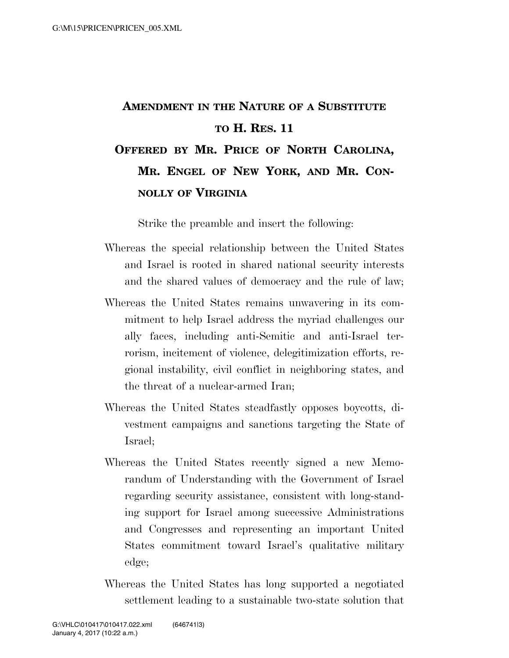## **AMENDMENT IN THE NATURE OF A SUBSTITUTE TO H. RES. 11**

## **OFFERED BY MR. PRICE OF NORTH CAROLINA, MR. ENGEL OF NEW YORK, AND MR. CON-NOLLY OF VIRGINIA**

Strike the preamble and insert the following:

- Whereas the special relationship between the United States and Israel is rooted in shared national security interests and the shared values of democracy and the rule of law;
- Whereas the United States remains unwavering in its commitment to help Israel address the myriad challenges our ally faces, including anti-Semitic and anti-Israel terrorism, incitement of violence, delegitimization efforts, regional instability, civil conflict in neighboring states, and the threat of a nuclear-armed Iran;
- Whereas the United States steadfastly opposes boycotts, divestment campaigns and sanctions targeting the State of Israel;
- Whereas the United States recently signed a new Memorandum of Understanding with the Government of Israel regarding security assistance, consistent with long-standing support for Israel among successive Administrations and Congresses and representing an important United States commitment toward Israel's qualitative military edge;
- Whereas the United States has long supported a negotiated settlement leading to a sustainable two-state solution that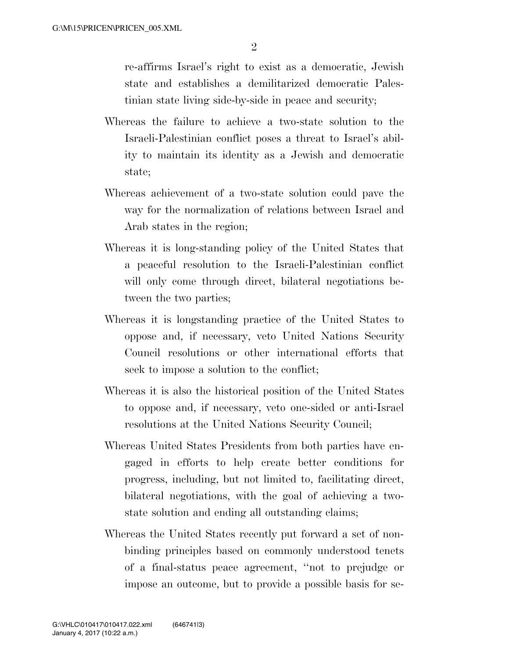re-affirms Israel's right to exist as a democratic, Jewish state and establishes a demilitarized democratic Palestinian state living side-by-side in peace and security;

- Whereas the failure to achieve a two-state solution to the Israeli-Palestinian conflict poses a threat to Israel's ability to maintain its identity as a Jewish and democratic state;
- Whereas achievement of a two-state solution could pave the way for the normalization of relations between Israel and Arab states in the region;
- Whereas it is long-standing policy of the United States that a peaceful resolution to the Israeli-Palestinian conflict will only come through direct, bilateral negotiations between the two parties;
- Whereas it is longstanding practice of the United States to oppose and, if necessary, veto United Nations Security Council resolutions or other international efforts that seek to impose a solution to the conflict;
- Whereas it is also the historical position of the United States to oppose and, if necessary, veto one-sided or anti-Israel resolutions at the United Nations Security Council;
- Whereas United States Presidents from both parties have engaged in efforts to help create better conditions for progress, including, but not limited to, facilitating direct, bilateral negotiations, with the goal of achieving a twostate solution and ending all outstanding claims;
- Whereas the United States recently put forward a set of nonbinding principles based on commonly understood tenets of a final-status peace agreement, ''not to prejudge or impose an outcome, but to provide a possible basis for se-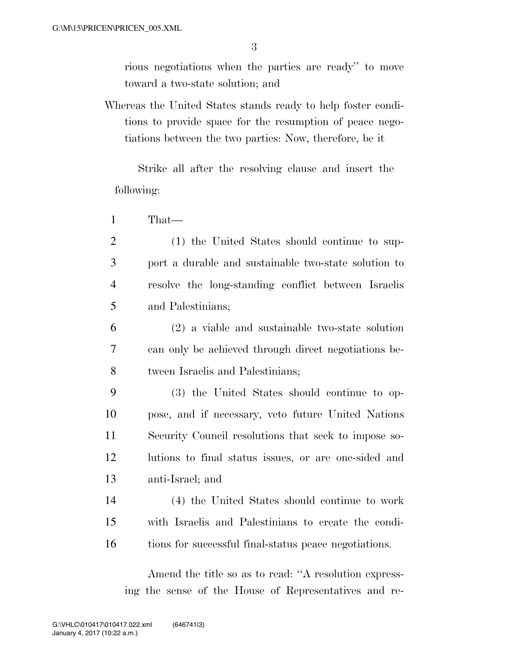rious negotiations when the parties are ready'' to move toward a two-state solution; and

Whereas the United States stands ready to help foster conditions to provide space for the resumption of peace negotiations between the two parties: Now, therefore, be it

Strike all after the resolving clause and insert the following:

1 That—

 (1) the United States should continue to sup- port a durable and sustainable two-state solution to resolve the long-standing conflict between Israelis and Palestinians;

6 (2) a viable and sustainable two-state solution 7 can only be achieved through direct negotiations be-8 tween Israelis and Palestinians;

 (3) the United States should continue to op- pose, and if necessary, veto future United Nations Security Council resolutions that seek to impose so- lutions to final status issues, or are one-sided and anti-Israel; and

14 (4) the United States should continue to work 15 with Israelis and Palestinians to create the condi-16 tions for successful final-status peace negotiations.

Amend the title so as to read: ''A resolution expressing the sense of the House of Representatives and re